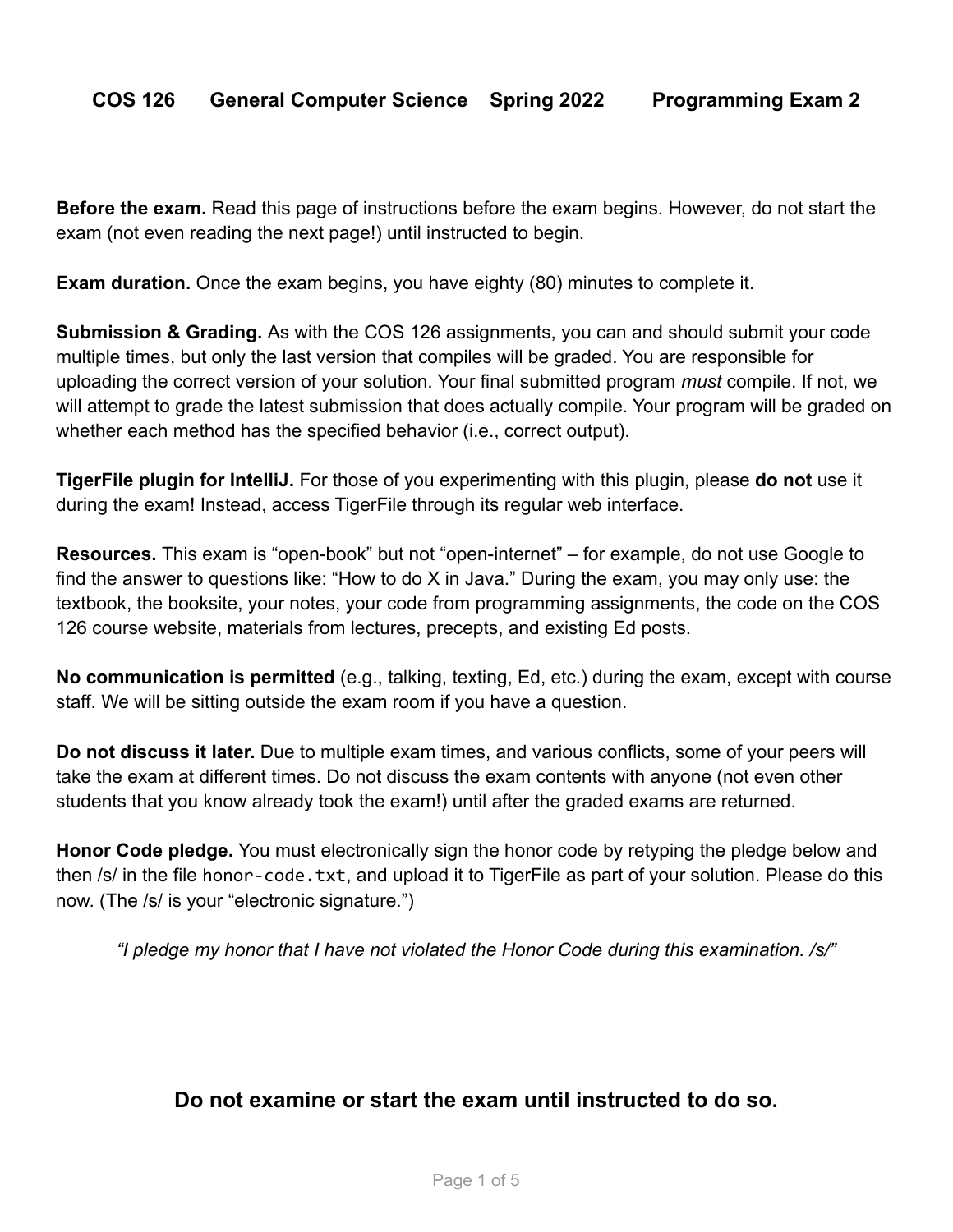**Before the exam.** Read this page of instructions before the exam begins. However, do not start the exam (not even reading the next page!) until instructed to begin.

**Exam duration.** Once the exam begins, you have eighty (80) minutes to complete it.

**Submission & Grading.** As with the COS 126 assignments, you can and should submit your code multiple times, but only the last version that compiles will be graded. You are responsible for uploading the correct version of your solution. Your final submitted program *must* compile. If not, we will attempt to grade the latest submission that does actually compile. Your program will be graded on whether each method has the specified behavior (i.e., correct output).

**TigerFile plugin for IntelliJ.** For those of you experimenting with this plugin, please **do not** use it during the exam! Instead, access TigerFile through its regular web interface.

**Resources.** This exam is "open-book" but not "open-internet" – for example, do not use Google to find the answer to questions like: "How to do X in Java." During the exam, you may only use: the textbook, the booksite, your notes, your code from programming assignments, the code on the COS 126 course website, materials from lectures, precepts, and existing Ed posts.

**No communication is permitted** (e.g., talking, texting, Ed, etc.) during the exam, except with course staff. We will be sitting outside the exam room if you have a question.

**Do not discuss it later.** Due to multiple exam times, and various conflicts, some of your peers will take the exam at different times. Do not discuss the exam contents with anyone (not even other students that you know already took the exam!) until after the graded exams are returned.

**Honor Code pledge.** You must electronically sign the honor code by retyping the pledge below and then /s/ in the file honor-code.txt, and upload it to TigerFile as part of your solution. Please do this now. (The /s/ is your "electronic signature.")

*"I pledge my honor that I have not violated the Honor Code during this examination. /s/"*

## **Do not examine or start the exam until instructed to do so.**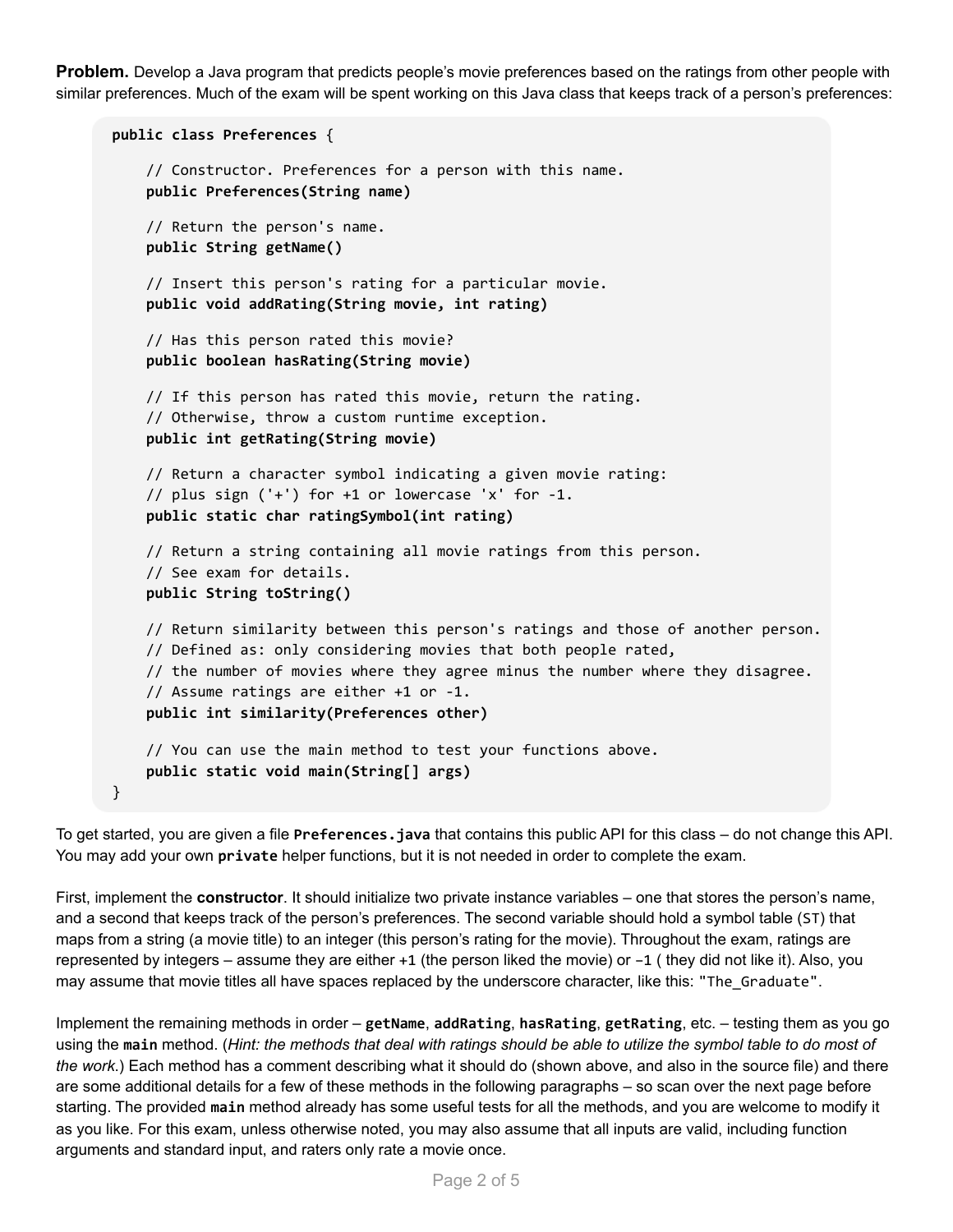**Problem.** Develop a Java program that predicts people's movie preferences based on the ratings from other people with similar preferences. Much of the exam will be spent working on this Java class that keeps track of a person's preferences:

```
public class Preferences {
    // Constructor. Preferences for a person with this name.
    public Preferences(String name)
    // Return the person's name.
    public String getName()
    // Insert this person's rating for a particular movie.
    public void addRating(String movie, int rating)
    // Has this person rated this movie?
    public boolean hasRating(String movie)
    // If this person has rated this movie, return the rating.
    // Otherwise, throw a custom runtime exception.
    public int getRating(String movie)
    // Return a character symbol indicating a given movie rating:
    // plus sign ('+') for +1 or lowercase 'x' for -1.
    public static char ratingSymbol(int rating)
    // Return a string containing all movie ratings from this person.
    // See exam for details.
    public String toString()
    // Return similarity between this person's ratings and those of another person.
    // Defined as: only considering movies that both people rated,
    // the number of movies where they agree minus the number where they disagree.
    // Assume ratings are either +1 or -1.
    public int similarity(Preferences other)
    // You can use the main method to test your functions above.
    public static void main(String[] args)
}
```
To get started, you are given a file **Preferences.java** that contains this public API for this class – do not change this API. You may add your own **private** helper functions, but it is not needed in order to complete the exam.

First, implement the **constructor**. It should initialize two private instance variables – one that stores the person's name, and a second that keeps track of the person's preferences. The second variable should hold a symbol table (ST) that maps from a string (a movie title) to an integer (this person's rating for the movie). Throughout the exam, ratings are represented by integers – assume they are either +1 (the person liked the movie) or –1 ( they did not like it). Also, you may assume that movie titles all have spaces replaced by the underscore character, like this: "The\_Graduate".

Implement the remaining methods in order – **getName**, **addRating**, **hasRating**, **getRating**, etc. – testing them as you go using the main method. (Hint: the methods that deal with ratings should be able to utilize the symbol table to do most of *the work*.) Each method has a comment describing what it should do (shown above, and also in the source file) and there are some additional details for a few of these methods in the following paragraphs – so scan over the next page before starting. The provided **main** method already has some useful tests for all the methods, and you are welcome to modify it as you like. For this exam, unless otherwise noted, you may also assume that all inputs are valid, including function arguments and standard input, and raters only rate a movie once.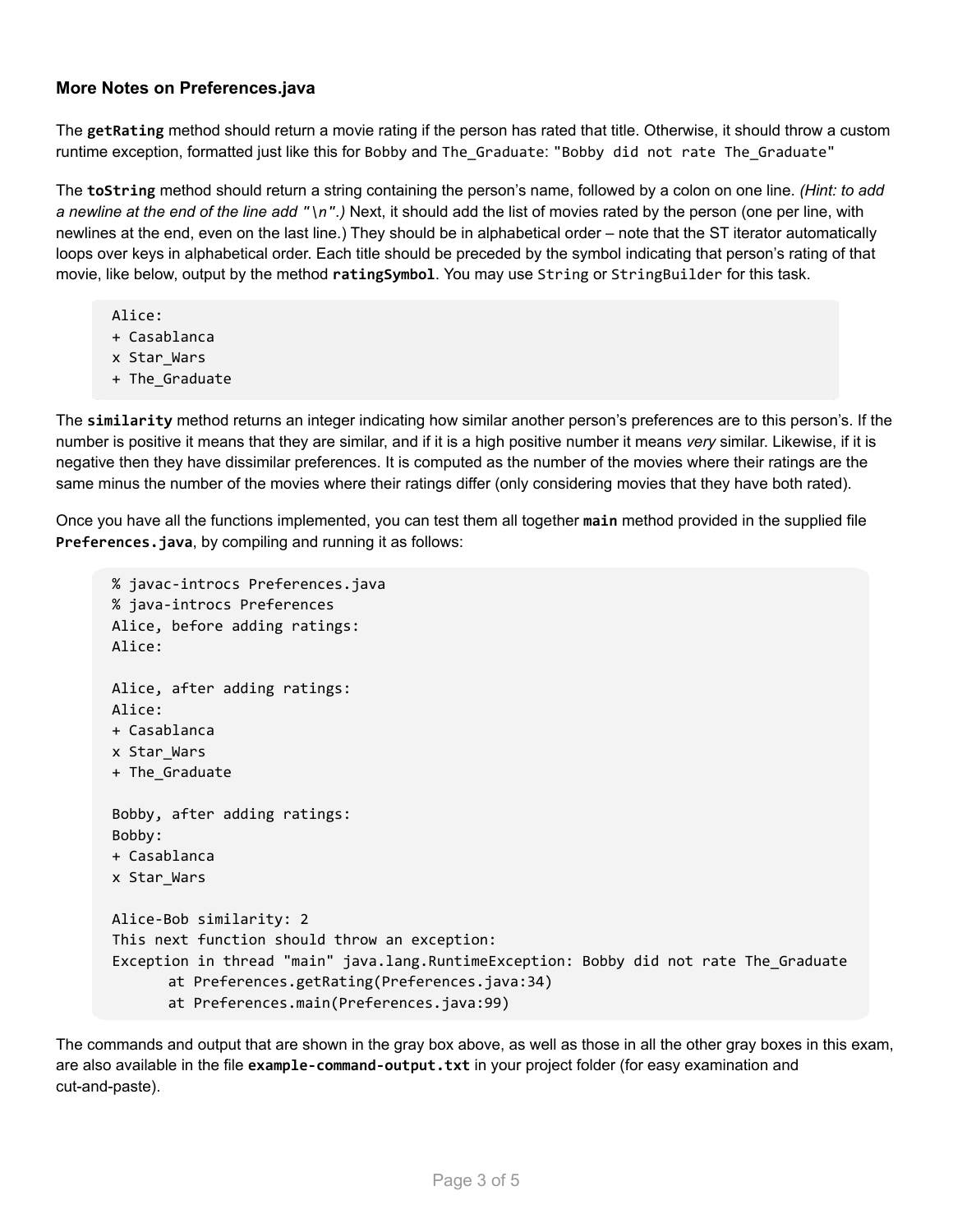## **More Notes on Preferences.java**

The **getRating** method should return a movie rating if the person has rated that title. Otherwise, it should throw a custom runtime exception, formatted just like this for Bobby and The\_Graduate: "Bobby did not rate The\_Graduate"

The **toString** method should return a string containing the person's name, followed by a colon on one line. *(Hint: to add a newline at the end of the line add "\n".)* Next, it should add the list of movies rated by the person (one per line, with newlines at the end, even on the last line.) They should be in alphabetical order – note that the ST iterator automatically loops over keys in alphabetical order. Each title should be preceded by the symbol indicating that person's rating of that movie, like below, output by the method **ratingSymbol**. You may use String or StringBuilder for this task.

- Alice:
- + Casablanca
- x Star\_Wars
- + The\_Graduate

The **similarity** method returns an integer indicating how similar another person's preferences are to this person's. If the number is positive it means that they are similar, and if it is a high positive number it means *very* similar. Likewise, if it is negative then they have dissimilar preferences. It is computed as the number of the movies where their ratings are the same minus the number of the movies where their ratings differ (only considering movies that they have both rated).

Once you have all the functions implemented, you can test them all together **main** method provided in the supplied file **Preferences.java**, by compiling and running it as follows:

```
% javac-introcs Preferences.java
% java-introcs Preferences
Alice, before adding ratings:
Alice:
Alice, after adding ratings:
Alice:
+ Casablanca
x Star_Wars
+ The_Graduate
Bobby, after adding ratings:
Bobby:
+ Casablanca
x Star_Wars
Alice-Bob similarity: 2
This next function should throw an exception:
Exception in thread "main" java.lang.RuntimeException: Bobby did not rate The_Graduate
      at Preferences.getRating(Preferences.java:34)
      at Preferences.main(Preferences.java:99)
```
The commands and output that are shown in the gray box above, as well as those in all the other gray boxes in this exam, are also available in the file **example-command-output.txt** in your project folder (for easy examination and cut-and-paste).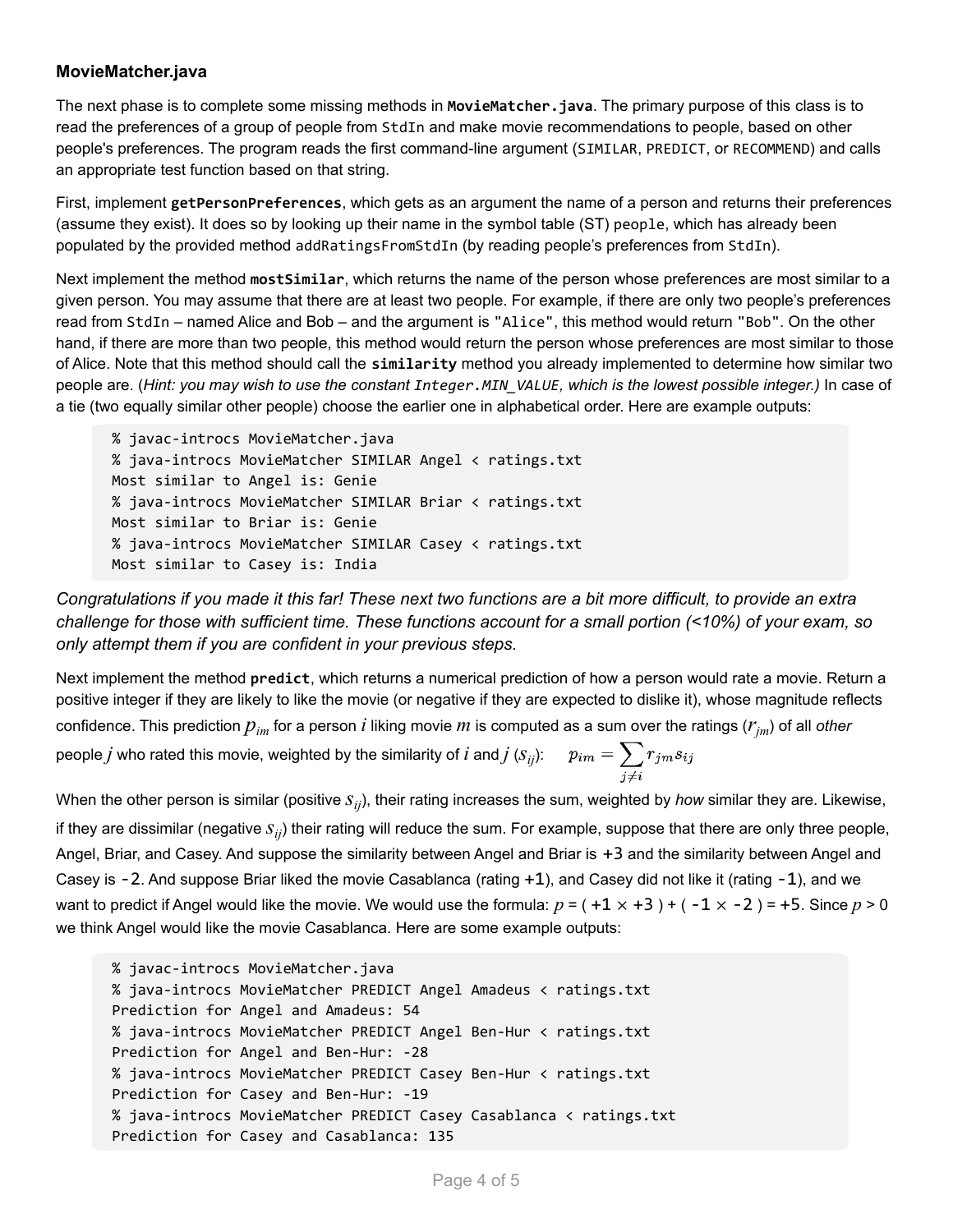## **MovieMatcher.java**

The next phase is to complete some missing methods in **MovieMatcher.java**. The primary purpose of this class is to read the preferences of a group of people from StdIn and make movie recommendations to people, based on other people's preferences. The program reads the first command-line argument (SIMILAR, PREDICT, or RECOMMEND) and calls an appropriate test function based on that string.

First, implement **getPersonPreferences**, which gets as an argument the name of a person and returns their preferences (assume they exist). It does so by looking up their name in the symbol table (ST) people, which has already been populated by the provided method addRatingsFromStdIn (by reading people's preferences from StdIn).

Next implement the method **mostSimilar**, which returns the name of the person whose preferences are most similar to a given person. You may assume that there are at least two people. For example, if there are only two people's preferences read from StdIn – named Alice and Bob – and the argument is "Alice", this method would return "Bob". On the other hand, if there are more than two people, this method would return the person whose preferences are most similar to those of Alice. Note that this method should call the **similarity** method you already implemented to determine how similar two people are. (Hint: you may wish to use the constant Integer. MIN VALUE, which is the lowest possible integer.) In case of a tie (two equally similar other people) choose the earlier one in alphabetical order. Here are example outputs:

% javac-introcs MovieMatcher.java % java-introcs MovieMatcher SIMILAR Angel < ratings.txt Most similar to Angel is: Genie % java-introcs MovieMatcher SIMILAR Briar < ratings.txt Most similar to Briar is: Genie % java-introcs MovieMatcher SIMILAR Casey < ratings.txt Most similar to Casey is: India

Congratulations if you made it this far! These next two functions are a bit more difficult, to provide an extra challenge for those with sufficient time. These functions account for a small portion (<10%) of your exam, so *only attempt them if you are confident in your previous steps.*

Next implement the method **predict**, which returns a numerical prediction of how a person would rate a movie. Return a positive integer if they are likely to like the movie (or negative if they are expected to dislike it), whose magnitude reflects confidence. This prediction *pim* for <sup>a</sup> person *i* liking movie *m* is computed as <sup>a</sup> sum over the ratings (*rjm*) of all *other* people  $j$  who rated this movie, weighted by the similarity of  $i$  and  $j$  ( $\overline{s_{ij}}$ ):

When the other person is similar (positive  $s_{ij}$ ), their rating increases the sum, weighted by *how* similar they are. Likewise, if they are dissimilar (negative  $s_{ij}$ ) their rating will reduce the sum. For example, suppose that there are only three people, Angel, Briar, and Casey. And suppose the similarity between Angel and Briar is +3 and the similarity between Angel and Casey is -2. And suppose Briar liked the movie Casablanca (rating +1), and Casey did not like it (rating -1), and we want to predict if Angel would like the movie. We would use the formula:  $p = (+1 \times +3) + (-1 \times -2) = +5$ . Since  $p > 0$ we think Angel would like the movie Casablanca. Here are some example outputs:

```
% javac-introcs MovieMatcher.java
% java-introcs MovieMatcher PREDICT Angel Amadeus < ratings.txt
Prediction for Angel and Amadeus: 54
% java-introcs MovieMatcher PREDICT Angel Ben-Hur < ratings.txt
Prediction for Angel and Ben-Hur: -28
% java-introcs MovieMatcher PREDICT Casey Ben-Hur < ratings.txt
Prediction for Casey and Ben-Hur: -19
% java-introcs MovieMatcher PREDICT Casey Casablanca < ratings.txt
Prediction for Casey and Casablanca: 135
```